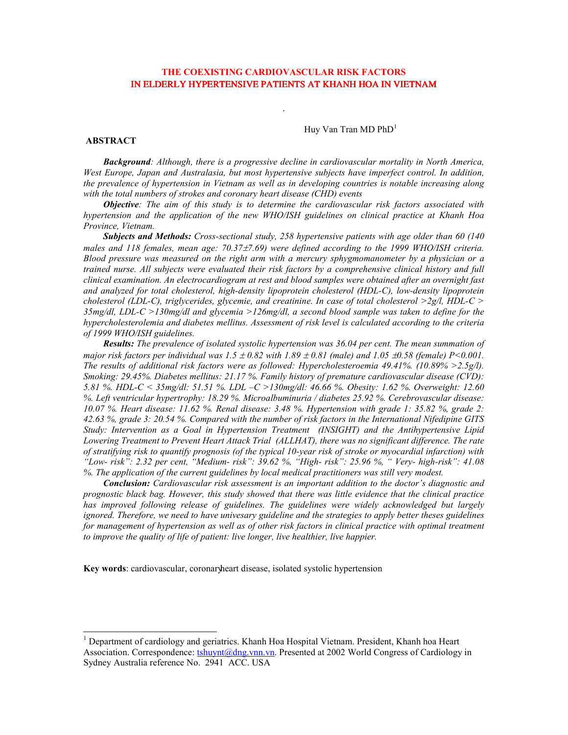# THE COEXISTING CARDIOVASCULAR RISK FACTORS IN ELDERLY HYPERTENSIVE PATIENTS AT KHANH HOA IN VIETNAM

Huy Van Tran MD  $PhD<sup>1</sup>$ 

### **ABSTRACT**

**Background:** Although, there is a progressive decline in cardiovascular mortality in North America, West Europe, Japan and Australasia, but most hypertensive subjects have imperfect control. In addition, the prevalence of hypertension in Vietnam as well as in developing countries is notable increasing along with the total numbers of strokes and coronary heart disease (CHD) events

Objective: The aim of this study is to determine the cardiovascular risk factors associated with hypertension and the application of the new WHO/ISH guidelines on clinical practice at Khanh Hoa Province, Vietnam.

Subjects and Methods: Cross-sectional study, 258 hypertensive patients with age older than 60 (140) males and 118 females, mean age: 70.37±7.69) were defined according to the 1999 WHO/ISH criteria. Blood pressure was measured on the right arm with a mercury sphygmomanometer by a physician or a trained nurse. All subjects were evaluated their risk factors by a comprehensive clinical history and full clinical examination. An electrocardiogram at rest and blood samples were obtained after an overnight fast and analyzed for total cholesterol, high-density lipoprotein cholesterol (HDL-C), low-density lipoprotein cholesterol (LDL-C), triglycerides, glycemie, and creatinine. In case of total cholesterol  $>2g/l$ , HDL-C  $>$  $35mg/dl$ , LDL-C >130mg/dl and glycemia >126mg/dl, a second blood sample was taken to define for the hypercholesterolemia and diabetes mellitus. Assessment of risk level is calculated according to the criteria of 1999 WHO/ISH guidelines.

Results: The prevalence of isolated systolic hypertension was 36.04 per cent. The mean summation of major risk factors per individual was  $1.5 \pm 0.82$  with  $1.89 \pm 0.81$  (male) and  $1.05 \pm 0.58$  (female) P<0.001. The results of additional risk factors were as followed: Hypercholesteroemia 49.41%. (10.89% > 2.5g/l). Smoking: 29.45%. Diabetes mellitus: 21.17%. Family history of premature cardiovascular disease (CVD): 5.81 %. HDL-C < 35mg/dl: 51.51 %. LDL -C >130mg/dl: 46.66 %. Obesity: 1.62 %. Overweight: 12.60 %. Left ventricular hypertrophy: 18.29 %. Microalbuminuria / diabetes 25.92 %. Cerebrovascular disease: 10.07 %. Heart disease: 11.62 %. Renal disease: 3.48 %. Hypertension with grade 1: 35.82 %, grade 2: 42.63 %, grade 3: 20.54 %. Compared with the number of risk factors in the International Nifedipine GITS Study: Intervention as a Goal in Hypertension Treatment (INSIGHT) and the Antihypertensive Lipid Lowering Treatment to Prevent Heart Attack Trial (ALLHAT), there was no significant difference. The rate of stratifying risk to quantify prognosis (of the typical 10-year risk of stroke or myocardial infarction) with "Low-risk": 2.32 per cent, "Medium-risk": 39.62 %, "High-risk": 25.96 %, "Very-high-risk": 41.08 %. The application of the current guidelines by local medical practitioners was still very modest.

**Conclusion:** Cardiovascular risk assessment is an important addition to the doctor's diagnostic and prognostic black bag. However, this study showed that there was little evidence that the clinical practice has improved following release of guidelines. The guidelines were widely acknowledged but largely ignored. Therefore, we need to have univesary guideline and the strategies to apply better theses guidelines for management of hypertension as well as of other risk factors in clinical practice with optimal treatment to improve the quality of life of patient: live longer, live healthier, live happier.

Key words: cardiovascular, coronary heart disease, isolated systolic hypertension

<sup>&</sup>lt;sup>1</sup> Department of cardiology and geriatrics. Khanh Hoa Hospital Vietnam. President, Khanh hoa Heart Association. Correspondence: tshuynt@dng.vnn.vn. Presented at 2002 World Congress of Cardiology in Sydney Australia reference No. 2941 ACC. USA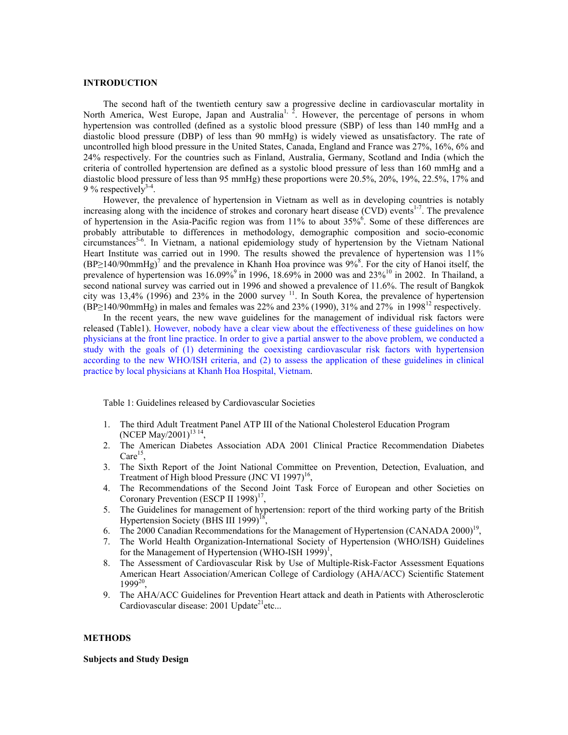#### **INTRODUCTION**

The second haft of the twentieth century saw a progressive decline in cardiovascular mortality in North America, West Europe, Japan and Australia<sup>1, 2</sup>. However, the percentage of persons in whom hypertension was controlled (defined as a systolic blood pressure (SBP) of less than 140 mmHg and a diastolic blood pressure (DBP) of less than 90 mmHg) is widely viewed as unsatisfactory. The rate of uncontrolled high blood pressure in the United States, Canada, England and France was 27%, 16%, 6% and 24% respectively. For the countries such as Finland, Australia, Germany, Scotland and India (which the criteria of controlled hypertension are defined as a systolic blood pressure of less than 160 mmHg and a diastolic blood pressure of less than 95 mmHg) these proportions were  $20.5\%$ ,  $20\%$ ,  $19\%$ ,  $22.5\%$ ,  $17\%$  and 9 % respectively<sup>3-4</sup>.

However, the prevalence of hypertension in Vietnam as well as in developing countries is notably increasing along with the incidence of strokes and coronary heart disease (CVD) events<sup>1-7</sup>. The prevalence of hypertension in the Asia-Pacific region was from  $11\%$  to about  $35\%$ <sup>6</sup>. Some of these differences are probably attributable to differences in methodology, demographic composition and socio-economic circumstances<sup>5-6</sup>. In Vietnam, a national epidemiology study of hypertension by the Vietnam National Heart Institute was carried out in 1990. The results showed the prevalence of hypertension was 11%  $(BP\geq 140/90$ mmHg)<sup>7</sup> and the prevalence in Khanh Hoa province was 9%<sup>8</sup>. For the city of Hanoi itself, the prevalence of hypertension was 16.09% in 1996, 18.69% in 2000 was and 23%<sup>10</sup> in 2002. In Thailand, a second national survey was carried out in 1996 and showed a prevalence of 11.6%. The result of Bangkok city was 13,4% (1996) and 23% in the 2000 survey  $^{11}$ . In South Korea, the prevalence of hypertension  $(BP\geq 140/90$ mmHg) in males and females was 22% and 23% (1990), 31% and 27% in 1998<sup>12</sup> respectively.

In the recent years, the new wave guidelines for the management of individual risk factors were released (Table1). However, nobody have a clear view about the effectiveness of these guidelines on how physicians at the front line practice. In order to give a partial answer to the above problem, we conducted a study with the goals of (1) determining the coexisting cardiovascular risk factors with hypertension according to the new WHO/ISH criteria, and (2) to assess the application of these guidelines in clinical practice by local physicians at Khanh Hoa Hospital, Vietnam.

Table 1: Guidelines released by Cardiovascular Societies

- 1. The third Adult Treatment Panel ATP III of the National Cholesterol Education Program (NCEP May/2001)<sup>13-14</sup>.
- 2. The American Diabetes Association ADA 2001 Clinical Practice Recommendation Diabetes Care<sup>15</sup>.
- 3. The Sixth Report of the Joint National Committee on Prevention, Detection, Evaluation, and Treatment of High blood Pressure (JNC VI 1997)<sup>16</sup>.
- The Recommendations of the Second Joint Task Force of European and other Societies on 4. Coronary Prevention (ESCP II 1998)<sup> $1$ '</sup>.
- 5. The Guidelines for management of hypertension: report of the third working party of the British Hypertension Society (BHS III 1999)<sup>18</sup>,
- 6. The 2000 Canadian Recommendations for the Management of Hypertension (CANADA 2000)<sup>19</sup>,
- 7. The World Health Organization-International Society of Hypertension (WHO/ISH) Guidelines for the Management of Hypertension (WHO-ISH 1999)<sup>1</sup>,
- 8. The Assessment of Cardiovascular Risk by Use of Multiple-Risk-Factor Assessment Equations American Heart Association/American College of Cardiology (AHA/ACC) Scientific Statement  $1999^{20}$ .
- 9. The AHA/ACC Guidelines for Prevention Heart attack and death in Patients with Atherosclerotic Cardiovascular disease:  $2001$  Update<sup>21</sup> etc...

### **METHODS**

## **Subjects and Study Design**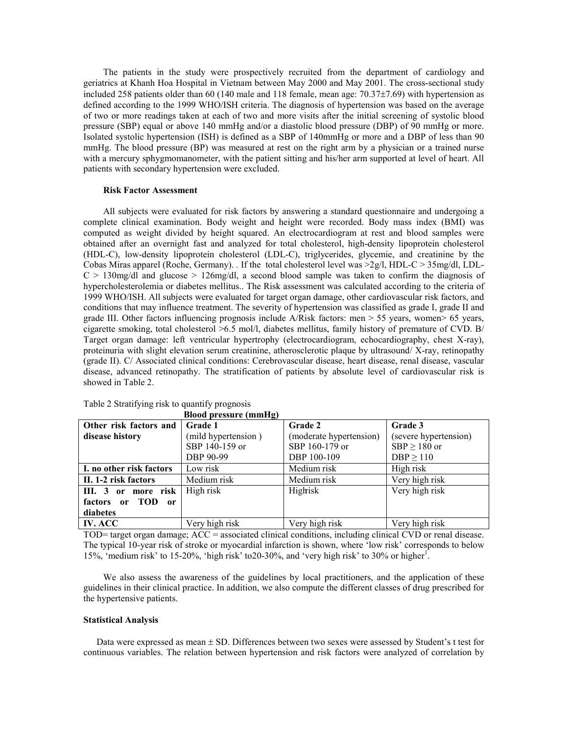The patients in the study were prospectively recruited from the department of cardiology and geriatrics at Khanh Hoa Hospital in Vietnam between May 2000 and May 2001. The cross-sectional study included 258 patients older than 60 (140 male and 118 female, mean age:  $70.37\pm7.69$ ) with hypertension as defined according to the 1999 WHO/ISH criteria. The diagnosis of hypertension was based on the average of two or more readings taken at each of two and more visits after the initial screening of systolic blood pressure (SBP) equal or above 140 mmHg and/or a diastolic blood pressure (DBP) of 90 mmHg or more. Isolated systolic hypertension (ISH) is defined as a SBP of 140mmHg or more and a DBP of less than 90 mmHg. The blood pressure (BP) was measured at rest on the right arm by a physician or a trained nurse with a mercury sphygmomanometer, with the patient sitting and his/her arm supported at level of heart. All patients with secondary hypertension were excluded.

#### **Risk Factor Assessment**

All subjects were evaluated for risk factors by answering a standard questionnaire and undergoing a complete clinical examination. Body weight and height were recorded. Body mass index (BMI) was computed as weight divided by height squared. An electrocardiogram at rest and blood samples were obtained after an overnight fast and analyzed for total cholesterol, high-density lipoprotein cholesterol (HDL-C), low-density lipoprotein cholesterol (LDL-C), triglycerides, glycemie, and creatinine by the Cobas Miras apparel (Roche, Germany). If the total cholesterol level was  $>2g/l$ , HDL-C  $> 35mg/dl$ , LDL- $C > 130$  mg/dl and glucose > 126 mg/dl, a second blood sample was taken to confirm the diagnosis of hypercholesterolemia or diabetes mellitus.. The Risk assessment was calculated according to the criteria of 1999 WHO/ISH. All subjects were evaluated for target organ damage, other cardiovascular risk factors, and conditions that may influence treatment. The severity of hypertension was classified as grade I, grade II and grade III. Other factors influencing prognosis include  $A/Risk$  factors: men  $> 55$  years, women $> 65$  years, cigarette smoking, total cholesterol >6.5 mol/l, diabetes mellitus, family history of premature of CVD. B/ Target organ damage: left ventricular hypertrophy (electrocardiogram, echocardiography, chest X-ray), proteinuria with slight elevation serum creatinine, atherosclerotic plaque by ultrasound/X-ray, retinopathy (grade II). C/ Associated clinical conditions: Cerebrovascular disease, heart disease, renal disease, vascular disease, advanced retinopathy. The stratification of patients by absolute level of cardiovascular risk is showed in Table 2.

|                                                   | Blood pressure (mmHg) |                         |                       |
|---------------------------------------------------|-----------------------|-------------------------|-----------------------|
| Other risk factors and                            | Grade 1               | <b>Grade 2</b>          | Grade 3               |
| disease history                                   | (mild hypertension)   | (moderate hypertension) | (severe hypertension) |
|                                                   | SBP 140-159 or        | SBP 160-179 or          | $SBP \ge 180$ or      |
|                                                   | DBP 90-99             | DBP 100-109             | DBP > 110             |
| I. no other risk factors                          | Low risk              | Medium risk             | High risk             |
| II. 1-2 risk factors                              | Medium risk           | Medium risk             | Very high risk        |
| III. 3<br>or more risk                            | High risk             | Highisk                 | Very high risk        |
| factors<br>TOD<br><sub>or</sub><br><sub>0</sub> r |                       |                         |                       |
| diabetes                                          |                       |                         |                       |
| $IV$ $\Delta CC$                                  | Very high risk        | Very high risk          | Very high risk        |

Table 2 Stratifying risk to quantify prognosis

TOD= target organ damage; ACC = associated clinical conditions, including clinical CVD or renal disease. The typical 10-year risk of stroke or myocardial infarction is shown, where 'low risk' corresponds to below 15%, 'medium risk' to 15-20%, 'high risk' to 20-30%, and 'very high risk' to 30% or higher<sup>1</sup>.

We also assess the awareness of the guidelines by local practitioners, and the application of these guidelines in their clinical practice. In addition, we also compute the different classes of drug prescribed for the hypertensive patients.

### **Statistical Analysis**

Data were expressed as mean ± SD. Differences between two sexes were assessed by Student's t test for continuous variables. The relation between hypertension and risk factors were analyzed of correlation by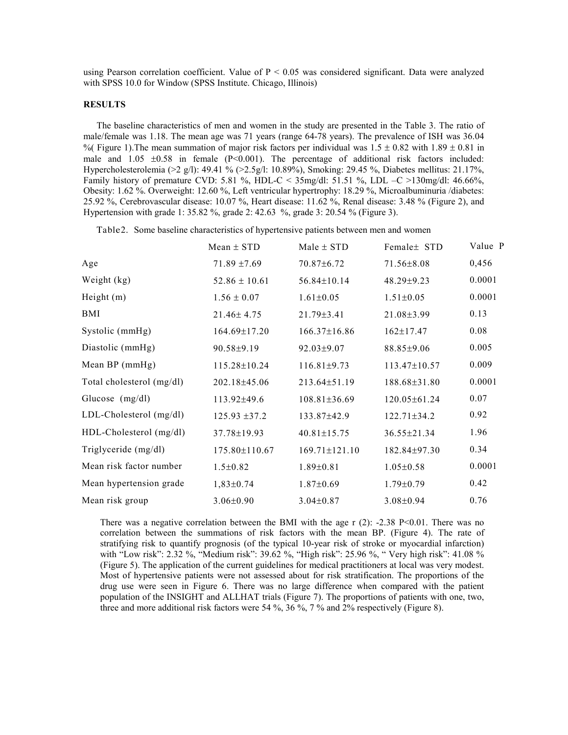using Pearson correlation coefficient. Value of  $P < 0.05$  was considered significant. Data were analyzed with SPSS 10.0 for Window (SPSS Institute, Chicago, Illinois)

### **RESULTS**

The baseline characteristics of men and women in the study are presented in the Table 3. The ratio of male/female was 1.18. The mean age was 71 years (range 64-78 years). The prevalence of ISH was 36.04 % Figure 1). The mean summation of major risk factors per individual was  $1.5 \pm 0.82$  with  $1.89 \pm 0.81$  in male and  $1.05 \pm 0.58$  in female (P<0.001). The percentage of additional risk factors included: Hypercholesterolemia (>2 g/l): 49.41 % (>2.5g/l: 10.89%), Smoking: 29.45 %, Diabetes mellitus: 21.17%, Family history of premature CVD: 5.81 %, HDL-C <  $35mg/dl$ : 51.51 %, LDL -C >130mg/dl: 46.66%, Obesity: 1.62 %. Overweight: 12.60 %, Left ventricular hypertrophy: 18.29 %, Microalbuminuria /diabetes: 25.92 %, Cerebrovascular disease: 10.07 %, Heart disease: 11.62 %, Renal disease: 3.48 % (Figure 2), and Hypertension with grade 1: 35.82 %, grade 2: 42.63 %, grade 3: 20.54 % (Figure 3).

Table 2. Some baseline characteristics of hypertensive patients between men and women

|                           | Mean $\pm$ STD     | $Male \pm STD$      | Female ± STD       | Value P |
|---------------------------|--------------------|---------------------|--------------------|---------|
| Age                       | $71.89 \pm 7.69$   | $70.87 \pm 6.72$    | $71.56 \pm 8.08$   | 0,456   |
| Weight (kg)               | $52.86 \pm 10.61$  | 56.84±10.14         | $48.29 \pm 9.23$   | 0.0001  |
| Height $(m)$              | $1.56 \pm 0.07$    | $1.61 \pm 0.05$     | $1.51 \pm 0.05$    | 0.0001  |
| BMI                       | $21.46 \pm 4.75$   | $21.79 \pm 3.41$    | $21.08 \pm 3.99$   | 0.13    |
| Systolic (mmHg)           | $164.69 \pm 17.20$ | $166.37 \pm 16.86$  | $162 \pm 17.47$    | 0.08    |
| Diastolic (mmHg)          | $90.58 \pm 9.19$   | $92.03 \pm 9.07$    | $88.85 \pm 9.06$   | 0.005   |
| Mean BP (mmHg)            | 115.28±10.24       | $116.81 \pm 9.73$   | 113.47±10.57       | 0.009   |
| Total cholesterol (mg/dl) | $202.18 \pm 45.06$ | $213.64 \pm 51.19$  | 188.68±31.80       | 0.0001  |
| Glucose $(mg/dl)$         | $113.92{\pm}49.6$  | $108.81 \pm 36.69$  | 120.05±61.24       | 0.07    |
| LDL-Cholesterol (mg/dl)   | $125.93 \pm 37.2$  | 133.87±42.9         | $122.71 \pm 34.2$  | 0.92    |
| HDL-Cholesterol (mg/dl)   | $37.78 \pm 19.93$  | $40.81 \pm 15.75$   | 36.55±21.34        | 1.96    |
| Triglyceride (mg/dl)      | 175.80±110.67      | $169.71 \pm 121.10$ | $182.84 \pm 97.30$ | 0.34    |
| Mean risk factor number   | $1.5 \pm 0.82$     | $1.89 \pm 0.81$     | $1.05 \pm 0.58$    | 0.0001  |
| Mean hypertension grade   | $1,83\pm0.74$      | $1.87 \pm 0.69$     | $1.79 \pm 0.79$    | 0.42    |
| Mean risk group           | $3.06 \pm 0.90$    | $3.04 \pm 0.87$     | $3.08 \pm 0.94$    | 0.76    |

There was a negative correlation between the BMI with the age r  $(2)$ : -2.38 P<0.01. There was no correlation between the summations of risk factors with the mean BP. (Figure 4). The rate of stratifying risk to quantify prognosis (of the typical 10-year risk of stroke or myocardial infarction) with "Low risk": 2.32 %, "Medium risk": 39.62 %, "High risk": 25.96 %, " Very high risk": 41.08 % (Figure 5). The application of the current guidelines for medical practitioners at local was very modest. Most of hypertensive patients were not assessed about for risk stratification. The proportions of the drug use were seen in Figure 6. There was no large difference when compared with the patient population of the INSIGHT and ALLHAT trials (Figure 7). The proportions of patients with one, two, three and more additional risk factors were 54 %,  $36\%$ ,  $7\%$  and  $2\%$  respectively (Figure 8).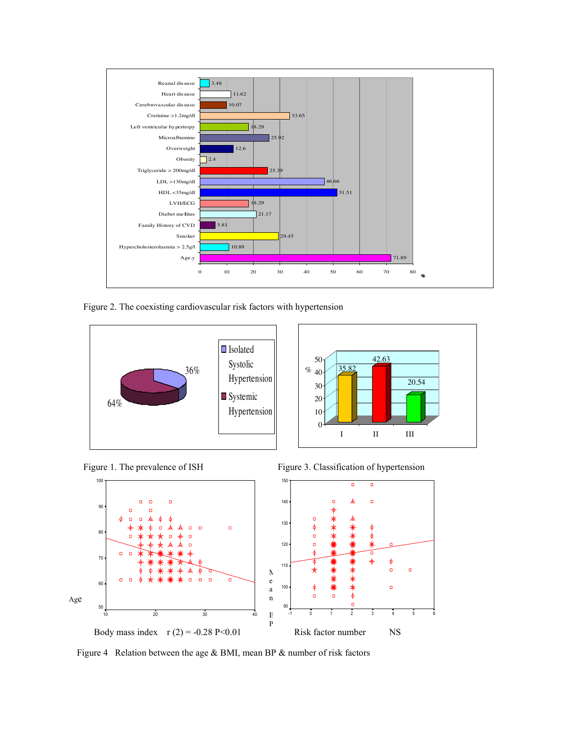

Figure 2. The coexisting cardiovascular risk factors with hypertension









Figure 4 Relation between the age & BMI, mean BP & number of risk factors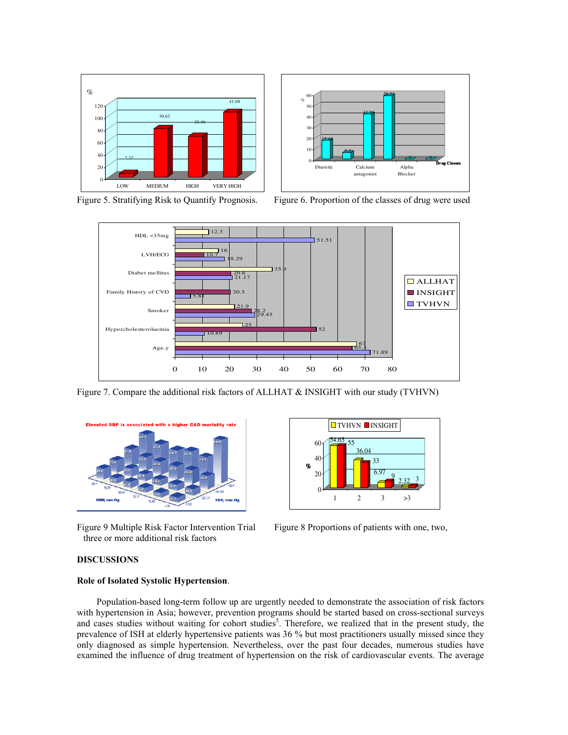



Figure 5. Stratifying Risk to Quantify Prognosis.

Figure 6. Proportion of the classes of drug were used



Figure 7. Compare the additional risk factors of ALLHAT & INSIGHT with our study (TVHVN)



Figure 9 Multiple Risk Factor Intervention Trial three or more additional risk factors



Figure 8 Proportions of patients with one, two,

### **DISCUSSIONS**

# Role of Isolated Systolic Hypertension.

Population-based long-term follow up are urgently needed to demonstrate the association of risk factors with hypertension in Asia; however, prevention programs should be started based on cross-sectional surveys and cases studies without waiting for cohort studies<sup>5</sup>. Therefore, we realized that in the present study, the prevalence of ISH at elderly hypertensive patients was 36 % but most practitioners usually missed since they only diagnosed as simple hypertension. Nevertheless, over the past four decades, numerous studies have examined the influence of drug treatment of hypertension on the risk of cardiovascular events. The average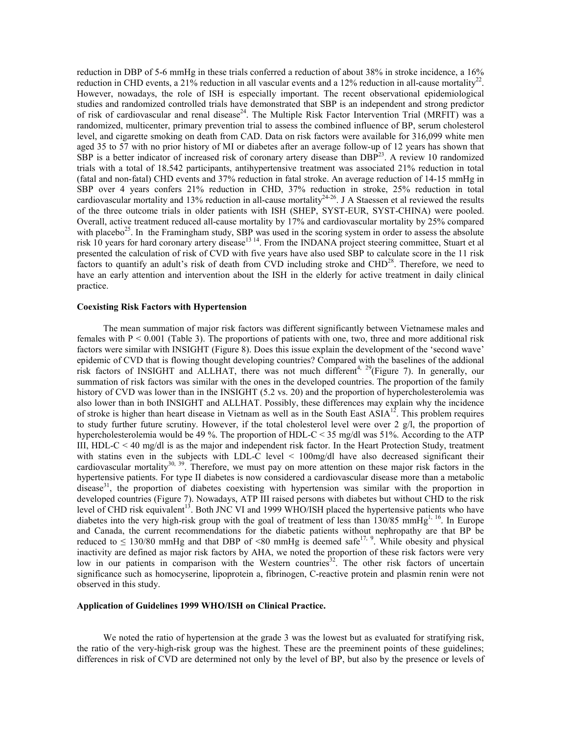reduction in DBP of 5-6 mmHg in these trials conferred a reduction of about 38% in stroke incidence, a 16% reduction in CHD events, a 21% reduction in all vascular events and a 12% reduction in all-cause mortality<sup>22</sup>. However, nowadays, the role of ISH is especially important. The recent observational epidemiological studies and randomized controlled trials have demonstrated that SBP is an independent and strong predictor of risk of cardiovascular and renal disease<sup>24</sup>. The Multiple Risk Factor Intervention Trial (MRFIT) was a randomized, multicenter, primary prevention trial to assess the combined influence of BP, serum cholesterol level, and cigarette smoking on death from CAD. Data on risk factors were available for 316,099 white men aged 35 to 57 with no prior history of MI or diabetes after an average follow-up of 12 years has shown that SBP is a better indicator of increased risk of coronary artery disease than  $DBP<sup>23</sup>$ . A review 10 randomized trials with a total of 18.542 participants, antihypertensive treatment was associated 21% reduction in total (fatal and non-fatal) CHD events and 37% reduction in fatal stroke. An average reduction of 14-15 mmHg in SBP over 4 years confers 21% reduction in CHD, 37% reduction in stroke, 25% reduction in total cardiovascular mortality and 13% reduction in all-cause mortality<sup>24-26</sup>. J A Staessen et al reviewed the results of the three outcome trials in older patients with ISH (SHEP, SYST-EUR, SYST-CHINA) were pooled. Overall, active treatment reduced all-cause mortality by 17% and cardiovascular mortality by 25% compared with placebo<sup>25</sup>. In the Framingham study, SBP was used in the scoring system in order to assess the absolute risk 10 years for hard coronary artery disease<sup>13 14</sup>. From the INDANA project steering committee, Stuart et al presented the calculation of risk of CVD with five years have also used SBP to calculate score in the 11 risk factors to quantify an adult's risk of death from CVD including stroke and CHD<sup>28</sup>. Therefore, we need to have an early attention and intervention about the ISH in the elderly for active treatment in daily clinical practice.

#### **Coexisting Risk Factors with Hypertension**

The mean summation of major risk factors was different significantly between Vietnamese males and females with  $P \le 0.001$  (Table 3). The proportions of patients with one, two, three and more additional risk factors were similar with INSIGHT (Figure 8). Does this issue explain the development of the 'second wave' epidemic of CVD that is flowing thought developing countries? Compared with the baselines of the addional risk factors of INSIGHT and ALLHAT, there was not much different<sup>4, 29</sup>(Figure 7). In generally, our summation of risk factors was similar with the ones in the developed countries. The proportion of the family history of CVD was lower than in the INSIGHT (5.2 vs. 20) and the proportion of hypercholesterolemia was also lower than in both INSIGHT and ALLHAT. Possibly, these differences may explain why the incidence of stroke is higher than heart disease in Vietnam as well as in the South East  $ASIA<sup>12</sup>$ . This problem requires to study further future scrutiny. However, if the total cholesterol level were over 2  $g/l$ , the proportion of hypercholesterolemia would be 49 %. The proportion of HDL-C < 35 mg/dl was 51%. According to the ATP III, HDL-C  $\leq$  40 mg/dl is as the major and independent risk factor. In the Heart Protection Study, treatment with statins even in the subjects with LDL-C level  $\leq 100$ mg/dl have also decreased significant their cardiovascular mortality<sup>30, 39</sup>. Therefore, we must pay on more attention on these major risk factors in the hypertensive patients. For type II diabetes is now considered a cardiovascular disease more than a metabolic disease<sup>31</sup>, the proportion of diabetes coexisting with hypertension was similar with the proportion in developed countries (Figure 7). Nowadays, ATP III raised persons with diabetes but without CHD to the risk level of CHD risk equivalent<sup>13</sup>. Both JNC VI and 1999 WHO/ISH placed the hypertensive patients who have diabetes into the very high-risk group with the goal of treatment of less than 130/85 mmHg<sup>1, 16</sup>. In Europe and Canada, the current recommendations for the diabetic patients without nephropathy are that BP be reduced to  $\leq$  130/80 mmHg and that DBP of <80 mmHg is deemed safe<sup>17, 9</sup>. While obesity and physical inactivity are defined as major risk factors by AHA, we noted the proportion of these risk factors were very low in our patients in comparison with the Western countries<sup>32</sup>. The other risk factors of uncertain significance such as homocyserine, lipoprotein a, fibrinogen, C-reactive protein and plasmin renin were not observed in this study.

### Application of Guidelines 1999 WHO/ISH on Clinical Practice.

We noted the ratio of hypertension at the grade 3 was the lowest but as evaluated for stratifying risk, the ratio of the very-high-risk group was the highest. These are the preeminent points of these guidelines; differences in risk of CVD are determined not only by the level of BP, but also by the presence or levels of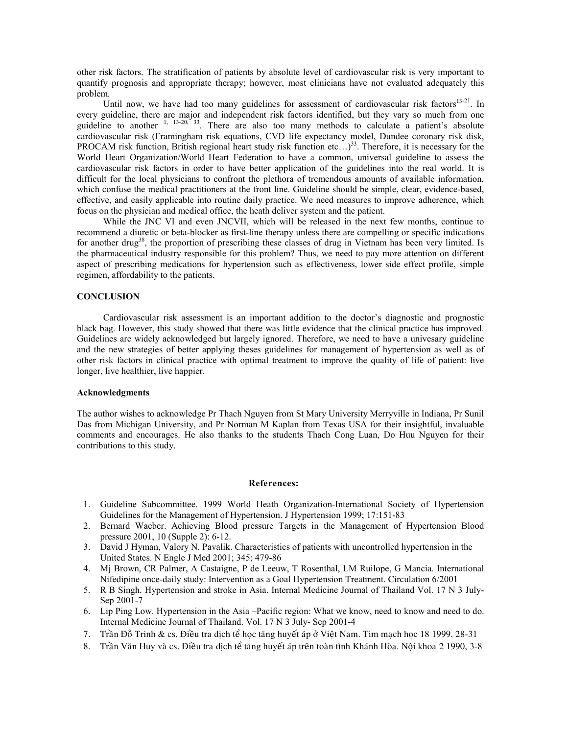other risk factors. The stratification of patients by absolute level of cardiovascular risk is very important to quantify prognosis and appropriate therapy; however, most clinicians have not evaluated adequately this problem.

Until now, we have had too many guidelines for assessment of cardiovascular risk factors<sup>13-21</sup>. In every guideline, there are major and independent risk factors identified, but they vary so much from one guideline to another <sup>1, 13-20, 33</sup>. There are also too many methods to calculate a patient's absolute cardiovascular risk (Framingham risk equations, CVD life expectancy model, Dundee coronary risk disk, PROCAM risk function, British regional heart study risk function etc...)<sup>33</sup>. Therefore, it is necessary for the World Heart Organization/World Heart Federation to have a common, universal guideline to assess the cardiovascular risk factors in order to have better application of the guidelines into the real world. It is difficult for the local physicians to confront the plethora of tremendous amounts of available information, which confuse the medical practitioners at the front line. Guideline should be simple, clear, evidence-based, effective, and easily applicable into routine daily practice. We need measures to improve adherence, which focus on the physician and medical office, the heath deliver system and the patient.

While the JNC VI and even JNCVII, which will be released in the next few months, continue to recommend a diuretic or beta-blocker as first-line therapy unless there are compelling or specific indications for another drug<sup>38</sup>, the proportion of prescribing these classes of drug in Vietnam has been very limited. Is the pharmaceutical industry responsible for this problem? Thus, we need to pay more attention on different aspect of prescribing medications for hypertension such as effectiveness, lower side effect profile, simple regimen, affordability to the patients.

### **CONCLUSION**

Cardiovascular risk assessment is an important addition to the doctor's diagnostic and prognostic black bag. However, this study showed that there was little evidence that the clinical practice has improved. Guidelines are widely acknowledged but largely ignored. Therefore, we need to have a univesary guideline and the new strategies of better applying theses guidelines for management of hypertension as well as of other risk factors in clinical practice with optimal treatment to improve the quality of life of patient: live longer, live healthier, live happier.

## **Acknowledgments**

The author wishes to acknowledge Pr Thach Nguyen from St Mary University Merryville in Indiana, Pr Sunil Das from Michigan University, and Pr Norman M Kaplan from Texas USA for their insightful, invaluable comments and encourages. He also thanks to the students Thach Cong Luan, Do Huu Nguyen for their contributions to this study.

### **References:**

- 1. Guideline Subcommittee. 1999 World Heath Organization-International Society of Hypertension Guidelines for the Management of Hypertension. J Hypertension 1999; 17:151-83
- 2. Bernard Waeber. Achieving Blood pressure Targets in the Management of Hypertension Blood pressure 2001, 10 (Supple 2): 6-12.
- 3. David J Hyman, Valory N. Pavalik. Characteristics of patients with uncontrolled hypertension in the United States. N Engle J Med 2001; 345; 479-86
- 4. Mi Brown, CR Palmer, A Castaigne, P de Leeuw, T Rosenthal, LM Ruilope, G Mancia, International Nifedipine once-daily study: Intervention as a Goal Hypertension Treatment. Circulation 6/2001
- 5. R B Singh. Hypertension and stroke in Asia. Internal Medicine Journal of Thailand Vol. 17 N 3 July-Sep 2001-7
- 6. Lip Ping Low. Hypertension in the Asia –Pacific region: What we know, need to know and need to do. Internal Medicine Journal of Thailand. Vol. 17 N 3 July-Sep 2001-4
- 7. Trần Đỗ Trinh & cs. Điều tra dịch tể học tăng huyết áp ở Việt Nam. Tim mạch học 18 1999. 28-31
- 8. Trần Văn Huy và cs. Điều tra dịch tể tăng huyết áp trên toàn tỉnh Khánh Hòa. Nội khoa 2 1990, 3-8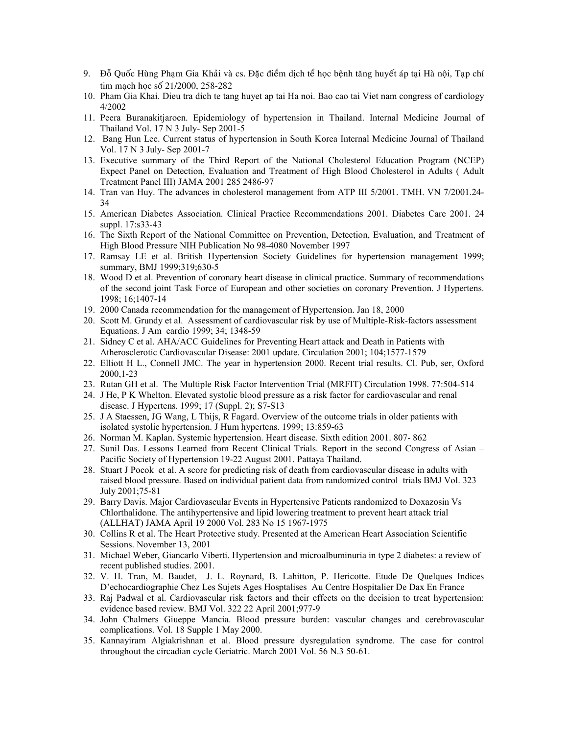- 9. Đỗ Quốc Hùng Pham Gia Khải và cs. Đặc điểm dịch tể học bệnh tăng huyết áp tại Hà nội, Tạp chí tim mach hoc số 21/2000, 258-282
- 10. Pham Gia Khai. Dieu tra dich te tang huyet ap tai Ha noi. Bao cao tai Viet nam congress of cardiology 4/2002
- 11. Peera Buranakitjaroen. Epidemiology of hypertension in Thailand. Internal Medicine Journal of Thailand Vol. 17 N 3 July- Sep 2001-5
- 12. Bang Hun Lee. Current status of hypertension in South Korea Internal Medicine Journal of Thailand Vol. 17 N 3 July-Sep 2001-7
- 13. Executive summary of the Third Report of the National Cholesterol Education Program (NCEP) Expect Panel on Detection, Evaluation and Treatment of High Blood Cholesterol in Adults (Adult Treatment Panel III) JAMA 2001 285 2486-97
- 14. Tran van Huy. The advances in cholesterol management from ATP III 5/2001. TMH. VN 7/2001.24- $34$
- 15. American Diabetes Association. Clinical Practice Recommendations 2001. Diabetes Care 2001. 24 suppl. 17:s33-43
- 16. The Sixth Report of the National Committee on Prevention, Detection, Evaluation, and Treatment of High Blood Pressure NIH Publication No 98-4080 November 1997
- 17. Ramsay LE et al. British Hypertension Society Guidelines for hypertension management 1999; summary, BMJ 1999;319;630-5
- 18. Wood D et al. Prevention of coronary heart disease in clinical practice. Summary of recommendations of the second joint Task Force of European and other societies on coronary Prevention. J Hypertens. 1998: 16:1407-14
- 19. 2000 Canada recommendation for the management of Hypertension. Jan 18, 2000
- 20. Scott M. Grundy et al. Assessment of cardiovascular risk by use of Multiple-Risk-factors assessment Equations. J Am cardio 1999; 34; 1348-59
- 21. Sidney C et al. AHA/ACC Guidelines for Preventing Heart attack and Death in Patients with Atherosclerotic Cardiovascular Disease: 2001 update. Circulation 2001; 104;1577-1579
- 22. Elliott H L., Connell JMC. The year in hypertension 2000. Recent trial results. Cl. Pub, ser, Oxford 2000, 1-23
- 23. Rutan GH et al. The Multiple Risk Factor Intervention Trial (MRFIT) Circulation 1998. 77:504-514
- 24. J He, P K Whelton. Elevated systolic blood pressure as a risk factor for cardiovascular and renal disease. J Hypertens. 1999; 17 (Suppl. 2); S7-S13
- 25. J A Staessen, JG Wang, L Thijs, R Fagard. Overview of the outcome trials in older patients with isolated systolic hypertension. J Hum hypertens. 1999; 13:859-63
- 26. Norman M. Kaplan. Systemic hypertension. Heart disease. Sixth edition 2001. 807-862
- 27. Sunil Das. Lessons Learned from Recent Clinical Trials. Report in the second Congress of Asian Pacific Society of Hypertension 19-22 August 2001. Pattaya Thailand.
- 28. Stuart J Pocok et al. A score for predicting risk of death from cardiovascular disease in adults with raised blood pressure. Based on individual patient data from randomized control trials BMJ Vol. 323 July 2001;75-81
- 29. Barry Davis, Major Cardiovascular Events in Hypertensive Patients randomized to Doxazosin Vs Chlorthalidone. The antihypertensive and lipid lowering treatment to prevent heart attack trial (ALLHAT) JAMA April 19 2000 Vol. 283 No 15 1967-1975
- 30. Collins R et al. The Heart Protective study. Presented at the American Heart Association Scientific Sessions. November 13, 2001
- 31. Michael Weber, Giancarlo Viberti. Hypertension and microalbuminuria in type 2 diabetes: a review of recent published studies. 2001.
- 32. V. H. Tran, M. Baudet, J. L. Roynard, B. Lahitton, P. Hericotte. Etude De Quelques Indices D'echocardiographie Chez Les Sujets Ages Hosptalises Au Centre Hospitalier De Dax En France
- 33. Raj Padwal et al. Cardiovascular risk factors and their effects on the decision to treat hypertension: evidence based review. BMJ Vol. 322 22 April 2001;977-9
- 34. John Chalmers Giueppe Mancia. Blood pressure burden: vascular changes and cerebrovascular complications. Vol. 18 Supple 1 May 2000.
- 35. Kannayiram Algiakrishnan et al. Blood pressure dysregulation syndrome. The case for control throughout the circadian cycle Geriatric. March 2001 Vol. 56 N.3 50-61.